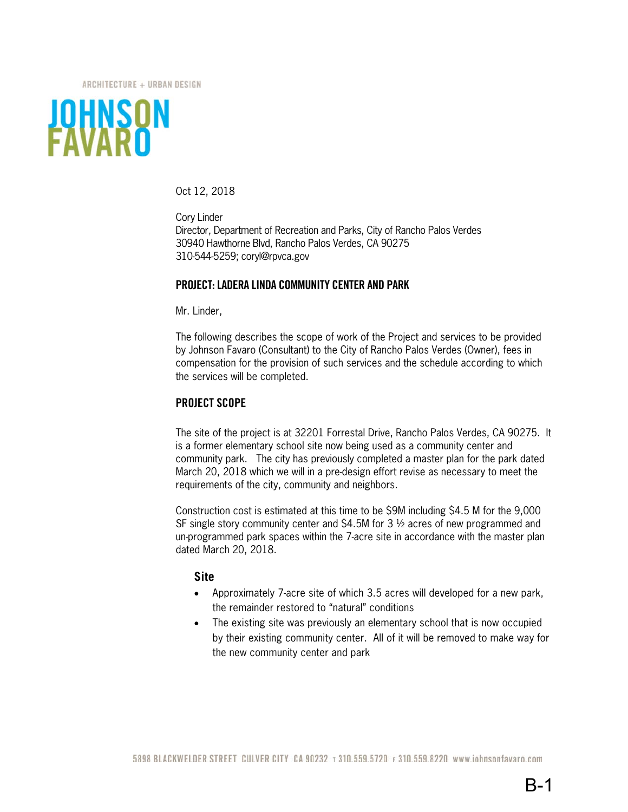ARCHITECTURE + URBAN DESIGN



Oct 12, 2018

Cory Linder Director, Department of Recreation and Parks, City of Rancho Palos Verdes 30940 Hawthorne Blvd, Rancho Palos Verdes, CA 90275 310-544-5259; coryl@rpvca.gov

### **PROJECT: LADERA LINDA COMMUNITY CENTER AND PARK**

Mr. Linder,

The following describes the scope of work of the Project and services to be provided by Johnson Favaro (Consultant) to the City of Rancho Palos Verdes (Owner), fees in compensation for the provision of such services and the schedule according to which the services will be completed.

### **PROJECT SCOPE**

The site of the project is at 32201 Forrestal Drive, Rancho Palos Verdes, CA 90275. It is a former elementary school site now being used as a community center and community park. The city has previously completed a master plan for the park dated March 20, 2018 which we will in a pre-design effort revise as necessary to meet the requirements of the city, community and neighbors.

Construction cost is estimated at this time to be \$9M including \$4.5 M for the 9,000 SF single story community center and \$4.5M for 3 ½ acres of new programmed and un-programmed park spaces within the 7-acre site in accordance with the master plan dated March 20, 2018.

### **Site**

- Approximately 7-acre site of which 3.5 acres will developed for a new park, the remainder restored to "natural" conditions
- The existing site was previously an elementary school that is now occupied by their existing community center. All of it will be removed to make way for the new community center and park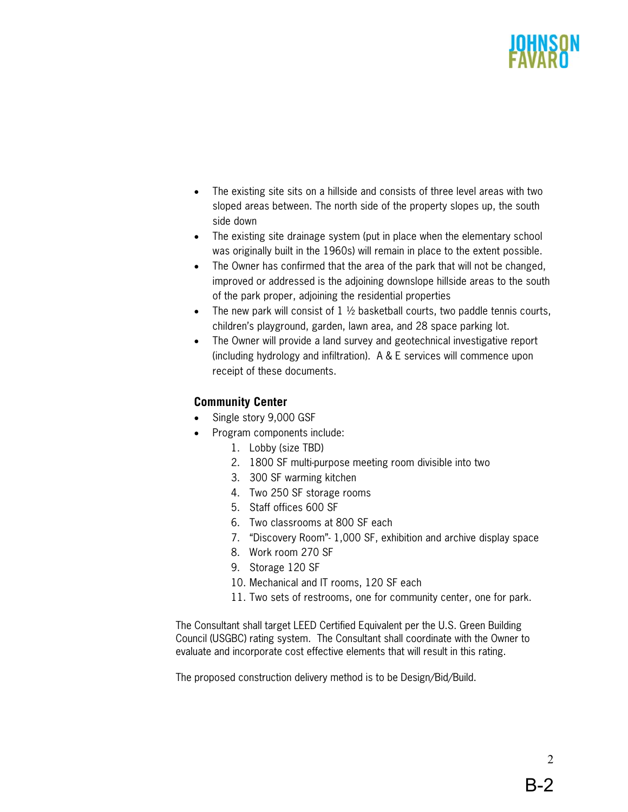- The existing site sits on a hillside and consists of three level areas with two sloped areas between. The north side of the property slopes up, the south side down
- The existing site drainage system (put in place when the elementary school was originally built in the 1960s) will remain in place to the extent possible.
- The Owner has confirmed that the area of the park that will not be changed, improved or addressed is the adjoining downslope hillside areas to the south of the park proper, adjoining the residential properties
- The new park will consist of  $1 \frac{1}{2}$  basketball courts, two paddle tennis courts, children's playground, garden, lawn area, and 28 space parking lot.
- The Owner will provide a land survey and geotechnical investigative report (including hydrology and infiltration). A & E services will commence upon receipt of these documents.

# **Community Center**

- Single story 9,000 GSF
- Program components include:
	- 1. Lobby (size TBD)
	- 2. 1800 SF multi-purpose meeting room divisible into two
	- 3. 300 SF warming kitchen
	- 4. Two 250 SF storage rooms
	- 5. Staff offices 600 SF
	- 6. Two classrooms at 800 SF each
	- 7. "Discovery Room"- 1,000 SF, exhibition and archive display space
	- 8. Work room 270 SF
	- 9. Storage 120 SF
	- 10. Mechanical and IT rooms, 120 SF each
	- 11. Two sets of restrooms, one for community center, one for park.

The Consultant shall target LEED Certified Equivalent per the U.S. Green Building Council (USGBC) rating system. The Consultant shall coordinate with the Owner to evaluate and incorporate cost effective elements that will result in this rating.

The proposed construction delivery method is to be Design/Bid/Build.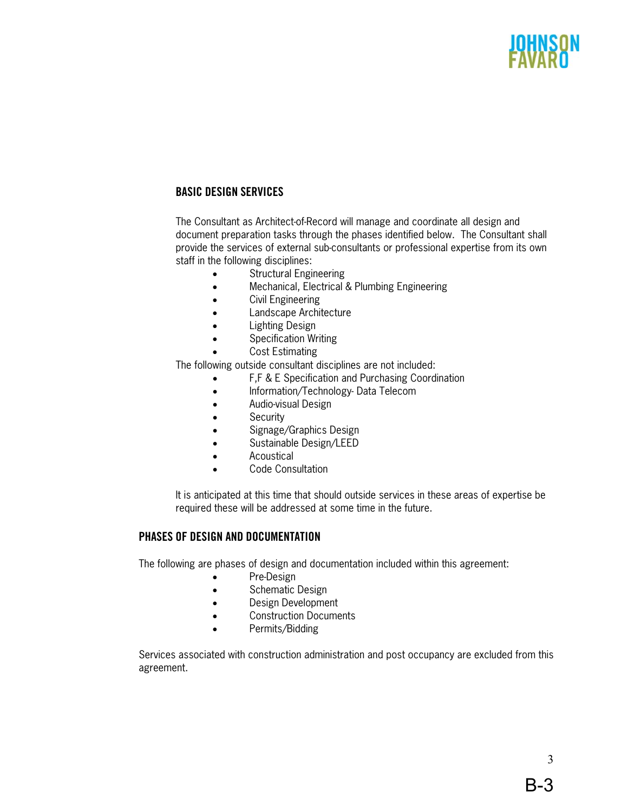# **BASIC DESIGN SERVICES**

The Consultant as Architect-of-Record will manage and coordinate all design and document preparation tasks through the phases identified below. The Consultant shall provide the services of external sub-consultants or professional expertise from its own staff in the following disciplines:

- Structural Engineering
- Mechanical, Electrical & Plumbing Engineering
- Civil Engineering
- Landscape Architecture
- Lighting Design
- Specification Writing
- Cost Estimating

The following outside consultant disciplines are not included:

- F,F & E Specification and Purchasing Coordination
- Information/Technology-Data Telecom
- Audio-visual Design
- Security
- Signage/Graphics Design
- Sustainable Design/LEED
- Acoustical
- Code Consultation

It is anticipated at this time that should outside services in these areas of expertise be required these will be addressed at some time in the future.

### **PHASES OF DESIGN AND DOCUMENTATION**

The following are phases of design and documentation included within this agreement:

- Pre-Design
- Schematic Design
- Design Development
- Construction Documents
- Permits/Bidding

Services associated with construction administration and post occupancy are excluded from this agreement.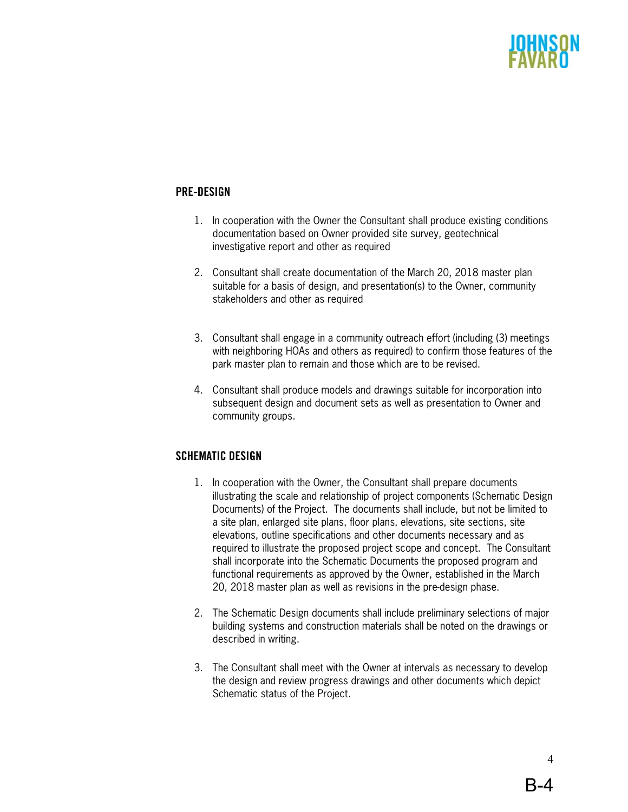# **PRE-DESIGN**

- 1. In cooperation with the Owner the Consultant shall produce existing conditions documentation based on Owner provided site survey, geotechnical investigative report and other as required
- 2. Consultant shall create documentation of the March 20, 2018 master plan suitable for a basis of design, and presentation(s) to the Owner, community stakeholders and other as required
- 3. Consultant shall engage in a community outreach effort (including (3) meetings with neighboring HOAs and others as required) to confirm those features of the park master plan to remain and those which are to be revised.
- 4. Consultant shall produce models and drawings suitable for incorporation into subsequent design and document sets as well as presentation to Owner and community groups.

# **SCHEMATIC DESIGN**

- 1. In cooperation with the Owner, the Consultant shall prepare documents illustrating the scale and relationship of project components (Schematic Design Documents) of the Project. The documents shall include, but not be limited to a site plan, enlarged site plans, floor plans, elevations, site sections, site elevations, outline specifications and other documents necessary and as required to illustrate the proposed project scope and concept. The Consultant shall incorporate into the Schematic Documents the proposed program and functional requirements as approved by the Owner, established in the March 20, 2018 master plan as well as revisions in the pre-design phase.
- 2. The Schematic Design documents shall include preliminary selections of major building systems and construction materials shall be noted on the drawings or described in writing.
- 3. The Consultant shall meet with the Owner at intervals as necessary to develop the design and review progress drawings and other documents which depict Schematic status of the Project.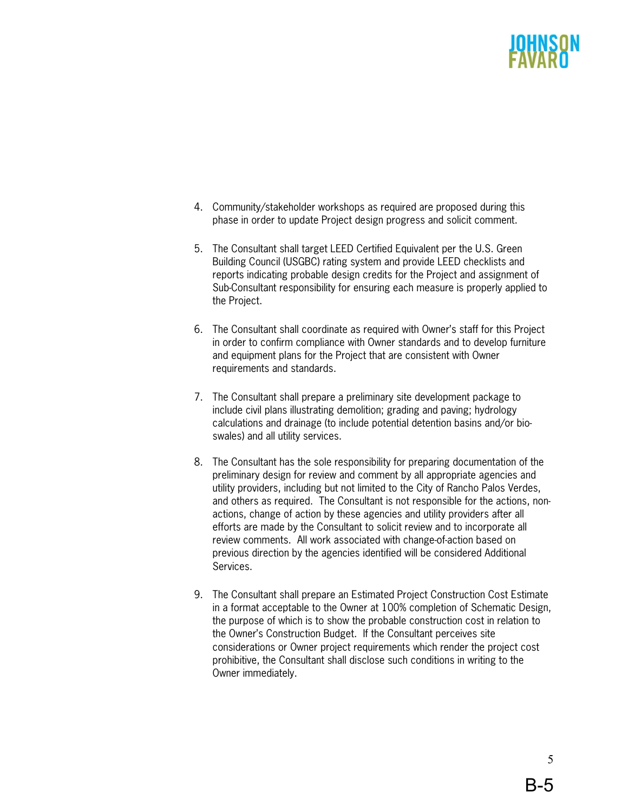

- 4. Community/stakeholder workshops as required are proposed during this phase in order to update Project design progress and solicit comment.
- 5. The Consultant shall target LEED Certified Equivalent per the U.S. Green Building Council (USGBC) rating system and provide LEED checklists and reports indicating probable design credits for the Project and assignment of Sub-Consultant responsibility for ensuring each measure is properly applied to the Project.
- 6. The Consultant shall coordinate as required with Owner's staff for this Project in order to confirm compliance with Owner standards and to develop furniture and equipment plans for the Project that are consistent with Owner requirements and standards.
- 7. The Consultant shall prepare a preliminary site development package to include civil plans illustrating demolition; grading and paving; hydrology calculations and drainage (to include potential detention basins and/or bioswales) and all utility services.
- 8. The Consultant has the sole responsibility for preparing documentation of the preliminary design for review and comment by all appropriate agencies and utility providers, including but not limited to the City of Rancho Palos Verdes, and others as required. The Consultant is not responsible for the actions, nonactions, change of action by these agencies and utility providers after all efforts are made by the Consultant to solicit review and to incorporate all review comments. All work associated with change-of-action based on previous direction by the agencies identified will be considered Additional Services.
- 9. The Consultant shall prepare an Estimated Project Construction Cost Estimate in a format acceptable to the Owner at 100% completion of Schematic Design, the purpose of which is to show the probable construction cost in relation to the Owner's Construction Budget. If the Consultant perceives site considerations or Owner project requirements which render the project cost prohibitive, the Consultant shall disclose such conditions in writing to the Owner immediately.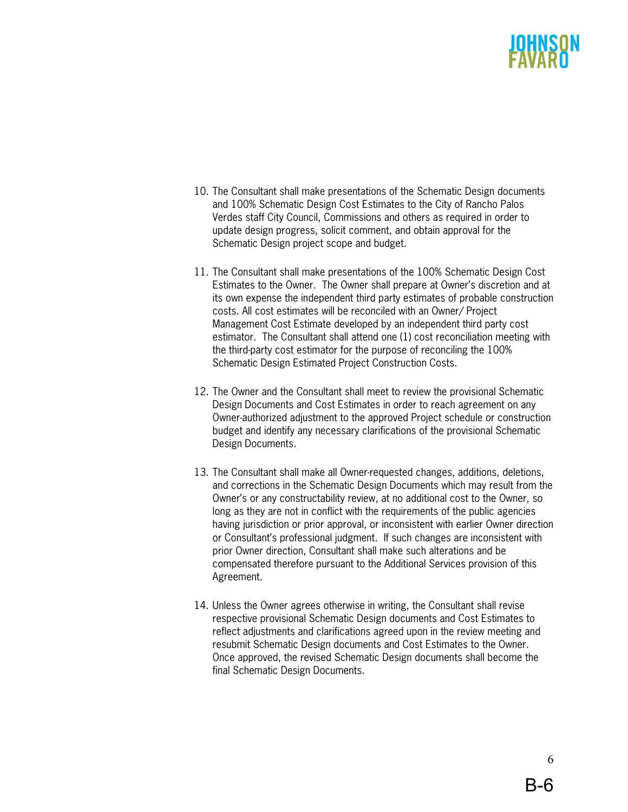- 10. The Consultant shall make presentations of the Schematic Design documents and 100% Schematic Design Cost Estimates to the City of Rancho Palos Verdes staff City Council, Commissions and others as required in order to update design progress, solicit comment, and obtain approval for the Schematic Design project scope and budget.
- 11. The Consultant shall make presentations of the 100% Schematic Design Cost Estimates to the Owner. The Owner shall prepare at Owner's discretion and at its own expense the independent third party estimates of probable construction costs. All cost estimates will be reconciled with an Owner/ Project Management Cost Estimate developed by an independent third party cost estimator. The Consultant shall attend one (1) cost reconciliation meeting with the third-party cost estimator for the purpose of reconciling the 100% Schematic Design Estimated Project Construction Costs.
- 12. The Owner and the Consultant shall meet to review the provisional Schematic Design Documents and Cost Estimates in order to reach agreement on any Owner-authorized adjustment to the approved Project schedule or construction budget and identify any necessary clarifications of the provisional Schematic Design Documents.
- 13. The Consultant shall make all Owner-requested changes, additions, deletions, and corrections in the Schematic Design Documents which may result from the Owner's or any constructability review, at no additional cost to the Owner, so long as they are not in conflict with the requirements of the public agencies having jurisdiction or prior approval, or inconsistent with earlier Owner direction or Consultant's professional judgment. If such changes are inconsistent with prior Owner direction, Consultant shall make such alterations and be compensated therefore pursuant to the Additional Services provision of this Agreement.
- 14. Unless the Owner agrees otherwise in writing, the Consultant shall revise respective provisional Schematic Design documents and Cost Estimates to reflect adjustments and clarifications agreed upon in the review meeting and resubmit Schematic Design documents and Cost Estimates to the Owner. Once approved, the revised Schematic Design documents shall become the final Schematic Design Documents.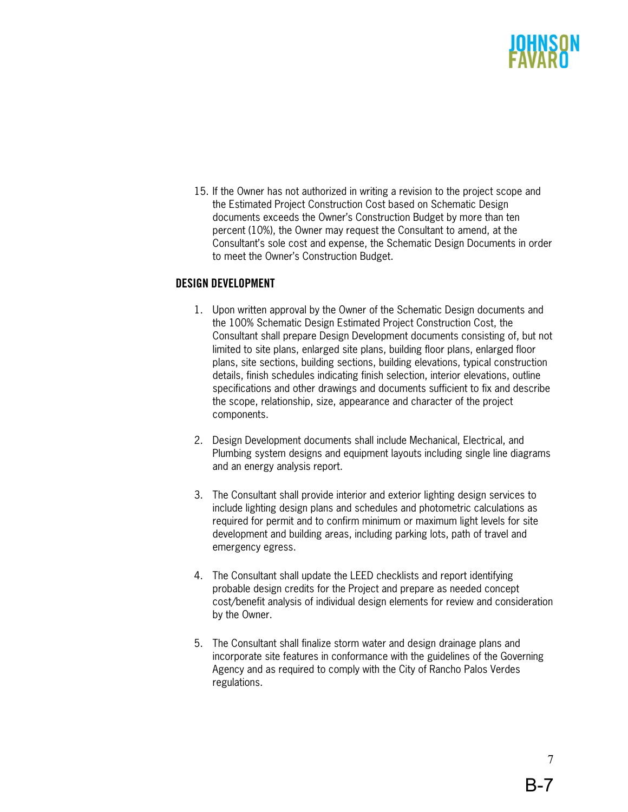

15. If the Owner has not authorized in writing a revision to the project scope and the Estimated Project Construction Cost based on Schematic Design documents exceeds the Owner's Construction Budget by more than ten percent (10%), the Owner may request the Consultant to amend, at the Consultant's sole cost and expense, the Schematic Design Documents in order to meet the Owner's Construction Budget.

### **DESIGN DEVELOPMENT**

- 1. Upon written approval by the Owner of the Schematic Design documents and the 100% Schematic Design Estimated Project Construction Cost, the Consultant shall prepare Design Development documents consisting of, but not limited to site plans, enlarged site plans, building floor plans, enlarged floor plans, site sections, building sections, building elevations, typical construction details, finish schedules indicating finish selection, interior elevations, outline specifications and other drawings and documents sufficient to fix and describe the scope, relationship, size, appearance and character of the project components.
- 2. Design Development documents shall include Mechanical, Electrical, and Plumbing system designs and equipment layouts including single line diagrams and an energy analysis report.
- 3. The Consultant shall provide interior and exterior lighting design services to include lighting design plans and schedules and photometric calculations as required for permit and to confirm minimum or maximum light levels for site development and building areas, including parking lots, path of travel and emergency egress.
- 4. The Consultant shall update the LEED checklists and report identifying probable design credits for the Project and prepare as needed concept cost/benefit analysis of individual design elements for review and consideration by the Owner.
- 5. The Consultant shall finalize storm water and design drainage plans and incorporate site features in conformance with the guidelines of the Governing Agency and as required to comply with the City of Rancho Palos Verdes regulations.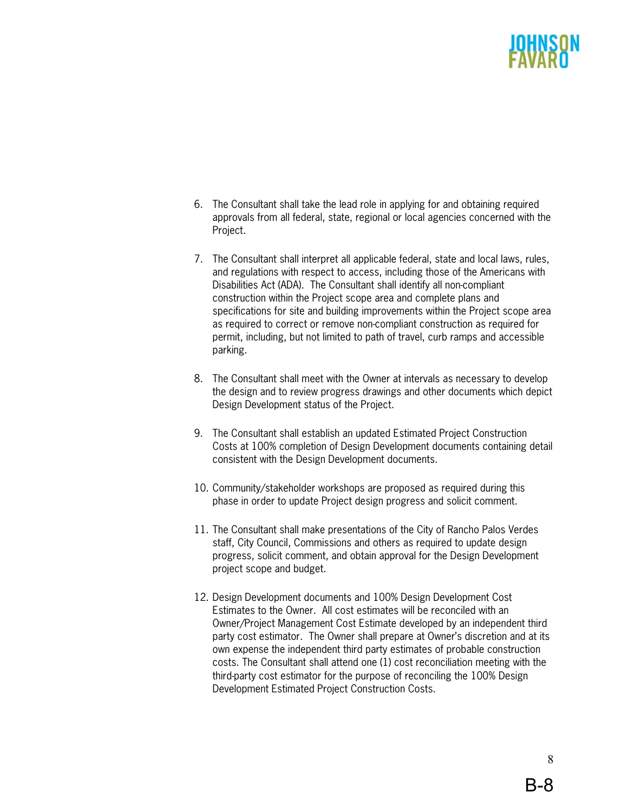- 6. The Consultant shall take the lead role in applying for and obtaining required approvals from all federal, state, regional or local agencies concerned with the Project.
- 7. The Consultant shall interpret all applicable federal, state and local laws, rules, and regulations with respect to access, including those of the Americans with Disabilities Act (ADA). The Consultant shall identify all non-compliant construction within the Project scope area and complete plans and specifications for site and building improvements within the Project scope area as required to correct or remove non-compliant construction as required for permit, including, but not limited to path of travel, curb ramps and accessible parking.
- 8. The Consultant shall meet with the Owner at intervals as necessary to develop the design and to review progress drawings and other documents which depict Design Development status of the Project.
- 9. The Consultant shall establish an updated Estimated Project Construction Costs at 100% completion of Design Development documents containing detail consistent with the Design Development documents.
- 10. Community/stakeholder workshops are proposed as required during this phase in order to update Project design progress and solicit comment.
- 11. The Consultant shall make presentations of the City of Rancho Palos Verdes staff, City Council, Commissions and others as required to update design progress, solicit comment, and obtain approval for the Design Development project scope and budget.
- 12. Design Development documents and 100% Design Development Cost Estimates to the Owner. All cost estimates will be reconciled with an Owner/Project Management Cost Estimate developed by an independent third party cost estimator. The Owner shall prepare at Owner's discretion and at its own expense the independent third party estimates of probable construction costs. The Consultant shall attend one (1) cost reconciliation meeting with the third-party cost estimator for the purpose of reconciling the 100% Design Development Estimated Project Construction Costs.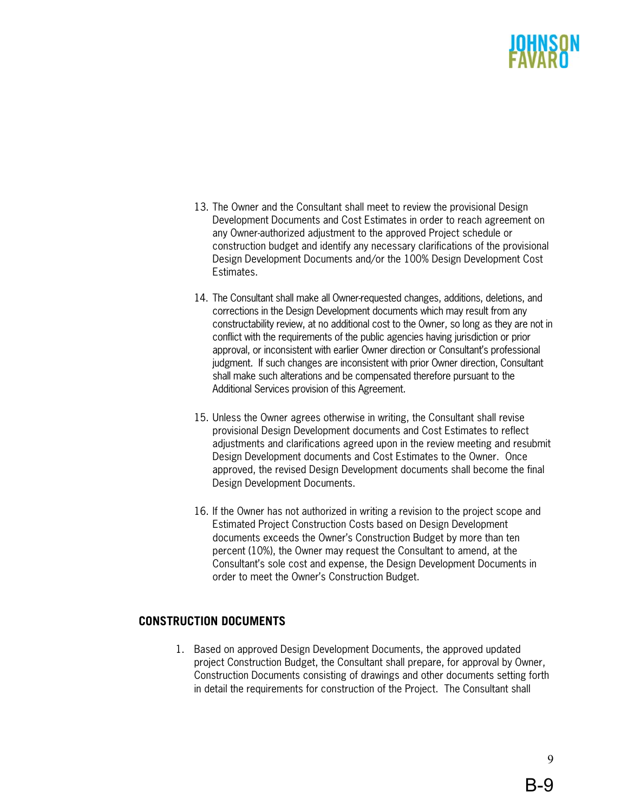- 13. The Owner and the Consultant shall meet to review the provisional Design Development Documents and Cost Estimates in order to reach agreement on any Owner-authorized adjustment to the approved Project schedule or construction budget and identify any necessary clarifications of the provisional Design Development Documents and/or the 100% Design Development Cost Estimates.
- 14. The Consultant shall make all Owner-requested changes, additions, deletions, and corrections in the Design Development documents which may result from any constructability review, at no additional cost to the Owner, so long as they are not in conflict with the requirements of the public agencies having jurisdiction or prior approval, or inconsistent with earlier Owner direction or Consultant's professional judgment. If such changes are inconsistent with prior Owner direction, Consultant shall make such alterations and be compensated therefore pursuant to the Additional Services provision of this Agreement.
- 15. Unless the Owner agrees otherwise in writing, the Consultant shall revise provisional Design Development documents and Cost Estimates to reflect adjustments and clarifications agreed upon in the review meeting and resubmit Design Development documents and Cost Estimates to the Owner. Once approved, the revised Design Development documents shall become the final Design Development Documents.
- 16. If the Owner has not authorized in writing a revision to the project scope and Estimated Project Construction Costs based on Design Development documents exceeds the Owner's Construction Budget by more than ten percent (10%), the Owner may request the Consultant to amend, at the Consultant's sole cost and expense, the Design Development Documents in order to meet the Owner's Construction Budget.

# **CONSTRUCTION DOCUMENTS**

1. Based on approved Design Development Documents, the approved updated project Construction Budget, the Consultant shall prepare, for approval by Owner, Construction Documents consisting of drawings and other documents setting forth in detail the requirements for construction of the Project. The Consultant shall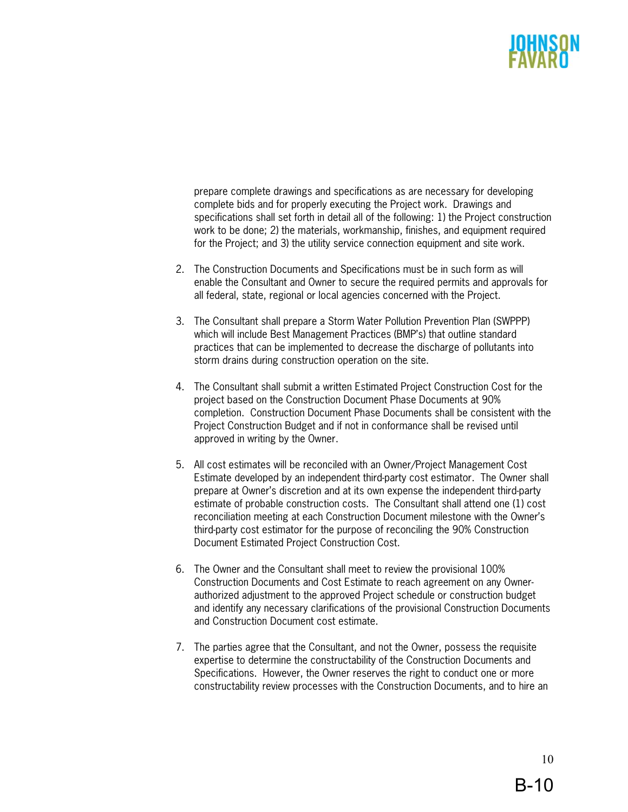prepare complete drawings and specifications as are necessary for developing complete bids and for properly executing the Project work. Drawings and specifications shall set forth in detail all of the following: 1) the Project construction work to be done; 2) the materials, workmanship, finishes, and equipment required for the Project; and 3) the utility service connection equipment and site work.

- 2. The Construction Documents and Specifications must be in such form as will enable the Consultant and Owner to secure the required permits and approvals for all federal, state, regional or local agencies concerned with the Project.
- 3. The Consultant shall prepare a Storm Water Pollution Prevention Plan (SWPPP) which will include Best Management Practices (BMP's) that outline standard practices that can be implemented to decrease the discharge of pollutants into storm drains during construction operation on the site.
- 4. The Consultant shall submit a written Estimated Project Construction Cost for the project based on the Construction Document Phase Documents at 90% completion. Construction Document Phase Documents shall be consistent with the Project Construction Budget and if not in conformance shall be revised until approved in writing by the Owner.
- 5. All cost estimates will be reconciled with an Owner/Project Management Cost Estimate developed by an independent third-party cost estimator. The Owner shall prepare at Owner's discretion and at its own expense the independent third-party estimate of probable construction costs. The Consultant shall attend one (1) cost reconciliation meeting at each Construction Document milestone with the Owner's third-party cost estimator for the purpose of reconciling the 90% Construction Document Estimated Project Construction Cost.
- 6. The Owner and the Consultant shall meet to review the provisional 100% Construction Documents and Cost Estimate to reach agreement on any Ownerauthorized adjustment to the approved Project schedule or construction budget and identify any necessary clarifications of the provisional Construction Documents and Construction Document cost estimate.
- 7. The parties agree that the Consultant, and not the Owner, possess the requisite expertise to determine the constructability of the Construction Documents and Specifications. However, the Owner reserves the right to conduct one or more constructability review processes with the Construction Documents, and to hire an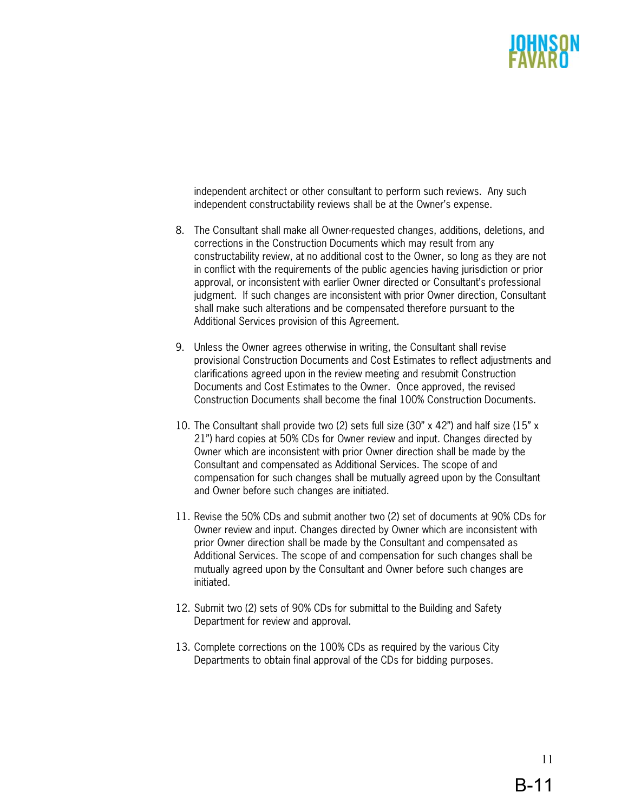independent architect or other consultant to perform such reviews. Any such independent constructability reviews shall be at the Owner's expense.

- 8. The Consultant shall make all Owner-requested changes, additions, deletions, and corrections in the Construction Documents which may result from any constructability review, at no additional cost to the Owner, so long as they are not in conflict with the requirements of the public agencies having jurisdiction or prior approval, or inconsistent with earlier Owner directed or Consultant's professional judgment. If such changes are inconsistent with prior Owner direction, Consultant shall make such alterations and be compensated therefore pursuant to the Additional Services provision of this Agreement.
- 9. Unless the Owner agrees otherwise in writing, the Consultant shall revise provisional Construction Documents and Cost Estimates to reflect adjustments and clarifications agreed upon in the review meeting and resubmit Construction Documents and Cost Estimates to the Owner. Once approved, the revised Construction Documents shall become the final 100% Construction Documents.
- 10. The Consultant shall provide two (2) sets full size (30" x 42") and half size (15" x 21") hard copies at 50% CDs for Owner review and input. Changes directed by Owner which are inconsistent with prior Owner direction shall be made by the Consultant and compensated as Additional Services. The scope of and compensation for such changes shall be mutually agreed upon by the Consultant and Owner before such changes are initiated.
- 11. Revise the 50% CDs and submit another two (2) set of documents at 90% CDs for Owner review and input. Changes directed by Owner which are inconsistent with prior Owner direction shall be made by the Consultant and compensated as Additional Services. The scope of and compensation for such changes shall be mutually agreed upon by the Consultant and Owner before such changes are initiated.
- 12. Submit two (2) sets of 90% CDs for submittal to the Building and Safety Department for review and approval.
- 13. Complete corrections on the 100% CDs as required by the various City Departments to obtain final approval of the CDs for bidding purposes.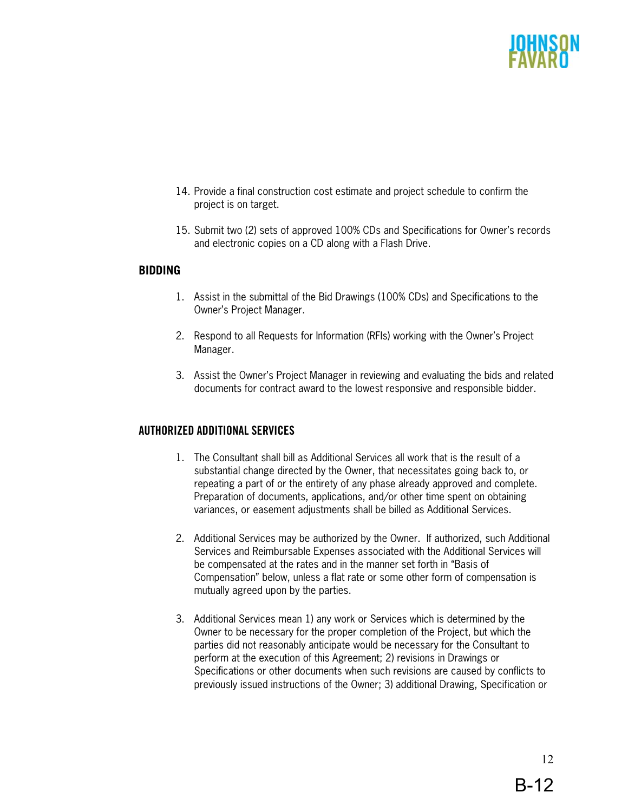- 14. Provide a final construction cost estimate and project schedule to confirm the project is on target.
- 15. Submit two (2) sets of approved 100% CDs and Specifications for Owner's records and electronic copies on a CD along with a Flash Drive.

### **BIDDING**

- 1. Assist in the submittal of the Bid Drawings (100% CDs) and Specifications to the Owner's Project Manager.
- 2. Respond to all Requests for Information (RFIs) working with the Owner's Project Manager.
- 3. Assist the Owner's Project Manager in reviewing and evaluating the bids and related documents for contract award to the lowest responsive and responsible bidder.

# **AUTHORIZED ADDITIONAL SERVICES**

- 1. The Consultant shall bill as Additional Services all work that is the result of a substantial change directed by the Owner, that necessitates going back to, or repeating a part of or the entirety of any phase already approved and complete. Preparation of documents, applications, and/or other time spent on obtaining variances, or easement adjustments shall be billed as Additional Services.
- 2. Additional Services may be authorized by the Owner. If authorized, such Additional Services and Reimbursable Expenses associated with the Additional Services will be compensated at the rates and in the manner set forth in "Basis of Compensation" below, unless a flat rate or some other form of compensation is mutually agreed upon by the parties.
- 3. Additional Services mean 1) any work or Services which is determined by the Owner to be necessary for the proper completion of the Project, but which the parties did not reasonably anticipate would be necessary for the Consultant to perform at the execution of this Agreement; 2) revisions in Drawings or Specifications or other documents when such revisions are caused by conflicts to previously issued instructions of the Owner; 3) additional Drawing, Specification or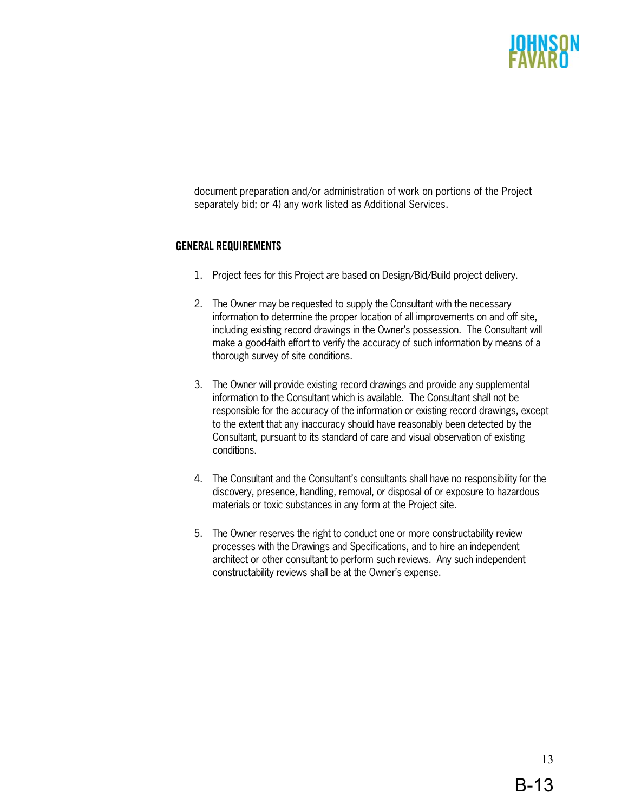document preparation and/or administration of work on portions of the Project separately bid; or 4) any work listed as Additional Services.

# **GENERAL REQUIREMENTS**

- 1. Project fees for this Project are based on Design/Bid/Build project delivery.
- 2. The Owner may be requested to supply the Consultant with the necessary information to determine the proper location of all improvements on and off site, including existing record drawings in the Owner's possession. The Consultant will make a good-faith effort to verify the accuracy of such information by means of a thorough survey of site conditions.
- 3. The Owner will provide existing record drawings and provide any supplemental information to the Consultant which is available. The Consultant shall not be responsible for the accuracy of the information or existing record drawings, except to the extent that any inaccuracy should have reasonably been detected by the Consultant, pursuant to its standard of care and visual observation of existing conditions.
- 4. The Consultant and the Consultant's consultants shall have no responsibility for the discovery, presence, handling, removal, or disposal of or exposure to hazardous materials or toxic substances in any form at the Project site.
- 5. The Owner reserves the right to conduct one or more constructability review processes with the Drawings and Specifications, and to hire an independent architect or other consultant to perform such reviews. Any such independent constructability reviews shall be at the Owner's expense.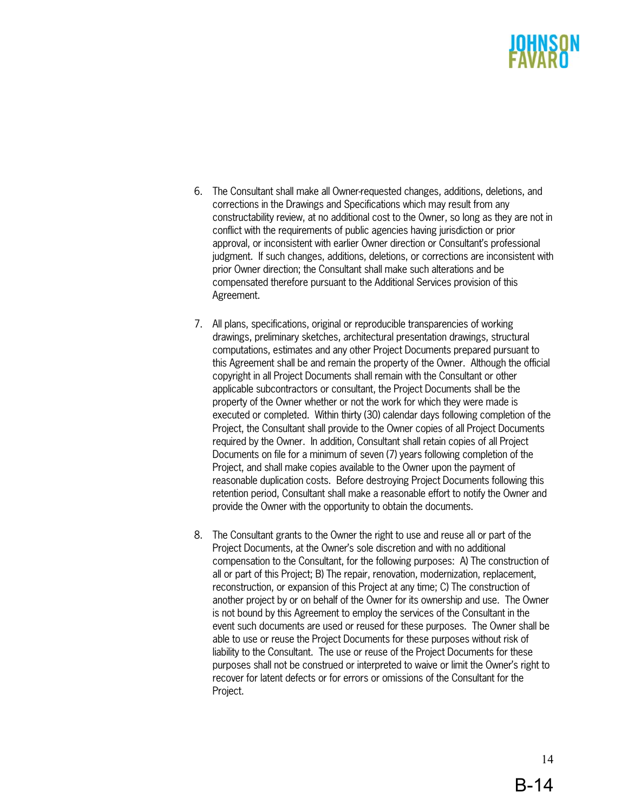- 6. The Consultant shall make all Owner-requested changes, additions, deletions, and corrections in the Drawings and Specifications which may result from any constructability review, at no additional cost to the Owner, so long as they are not in conflict with the requirements of public agencies having jurisdiction or prior approval, or inconsistent with earlier Owner direction or Consultant's professional judgment. If such changes, additions, deletions, or corrections are inconsistent with prior Owner direction; the Consultant shall make such alterations and be compensated therefore pursuant to the Additional Services provision of this Agreement.
- 7. All plans, specifications, original or reproducible transparencies of working drawings, preliminary sketches, architectural presentation drawings, structural computations, estimates and any other Project Documents prepared pursuant to this Agreement shall be and remain the property of the Owner. Although the official copyright in all Project Documents shall remain with the Consultant or other applicable subcontractors or consultant, the Project Documents shall be the property of the Owner whether or not the work for which they were made is executed or completed. Within thirty (30) calendar days following completion of the Project, the Consultant shall provide to the Owner copies of all Project Documents required by the Owner. In addition, Consultant shall retain copies of all Project Documents on file for a minimum of seven (7) years following completion of the Project, and shall make copies available to the Owner upon the payment of reasonable duplication costs. Before destroying Project Documents following this retention period, Consultant shall make a reasonable effort to notify the Owner and provide the Owner with the opportunity to obtain the documents.
- 8. The Consultant grants to the Owner the right to use and reuse all or part of the Project Documents, at the Owner's sole discretion and with no additional compensation to the Consultant, for the following purposes: A) The construction of all or part of this Project; B) The repair, renovation, modernization, replacement, reconstruction, or expansion of this Project at any time; C) The construction of another project by or on behalf of the Owner for its ownership and use. The Owner is not bound by this Agreement to employ the services of the Consultant in the event such documents are used or reused for these purposes. The Owner shall be able to use or reuse the Project Documents for these purposes without risk of liability to the Consultant. The use or reuse of the Project Documents for these purposes shall not be construed or interpreted to waive or limit the Owner's right to recover for latent defects or for errors or omissions of the Consultant for the Project.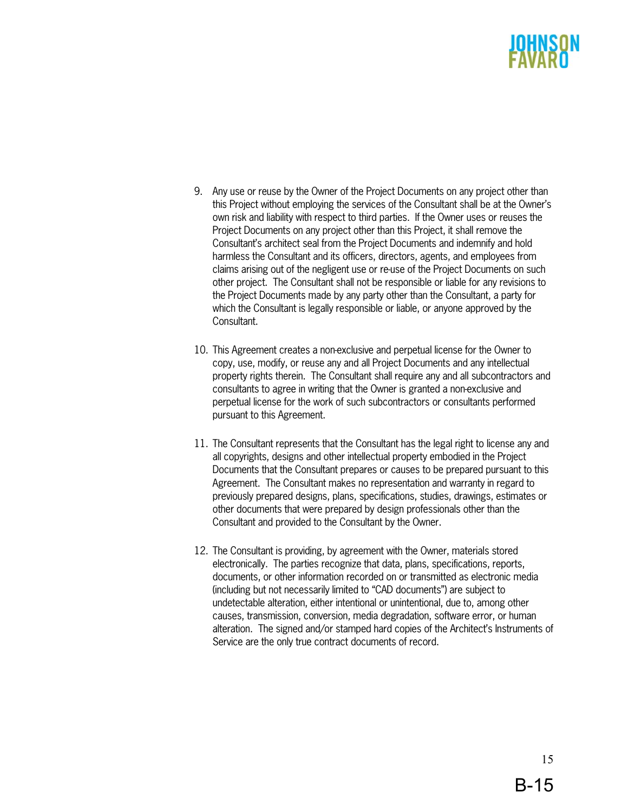- 9. Any use or reuse by the Owner of the Project Documents on any project other than this Project without employing the services of the Consultant shall be at the Owner's own risk and liability with respect to third parties. If the Owner uses or reuses the Project Documents on any project other than this Project, it shall remove the Consultant's architect seal from the Project Documents and indemnify and hold harmless the Consultant and its officers, directors, agents, and employees from claims arising out of the negligent use or re-use of the Project Documents on such other project. The Consultant shall not be responsible or liable for any revisions to the Project Documents made by any party other than the Consultant, a party for which the Consultant is legally responsible or liable, or anyone approved by the Consultant.
- 10. This Agreement creates a non-exclusive and perpetual license for the Owner to copy, use, modify, or reuse any and all Project Documents and any intellectual property rights therein. The Consultant shall require any and all subcontractors and consultants to agree in writing that the Owner is granted a non-exclusive and perpetual license for the work of such subcontractors or consultants performed pursuant to this Agreement.
- 11. The Consultant represents that the Consultant has the legal right to license any and all copyrights, designs and other intellectual property embodied in the Project Documents that the Consultant prepares or causes to be prepared pursuant to this Agreement. The Consultant makes no representation and warranty in regard to previously prepared designs, plans, specifications, studies, drawings, estimates or other documents that were prepared by design professionals other than the Consultant and provided to the Consultant by the Owner.
- 12. The Consultant is providing, by agreement with the Owner, materials stored electronically. The parties recognize that data, plans, specifications, reports, documents, or other information recorded on or transmitted as electronic media (including but not necessarily limited to "CAD documents") are subject to undetectable alteration, either intentional or unintentional, due to, among other causes, transmission, conversion, media degradation, software error, or human alteration. The signed and/or stamped hard copies of the Architect's Instruments of Service are the only true contract documents of record.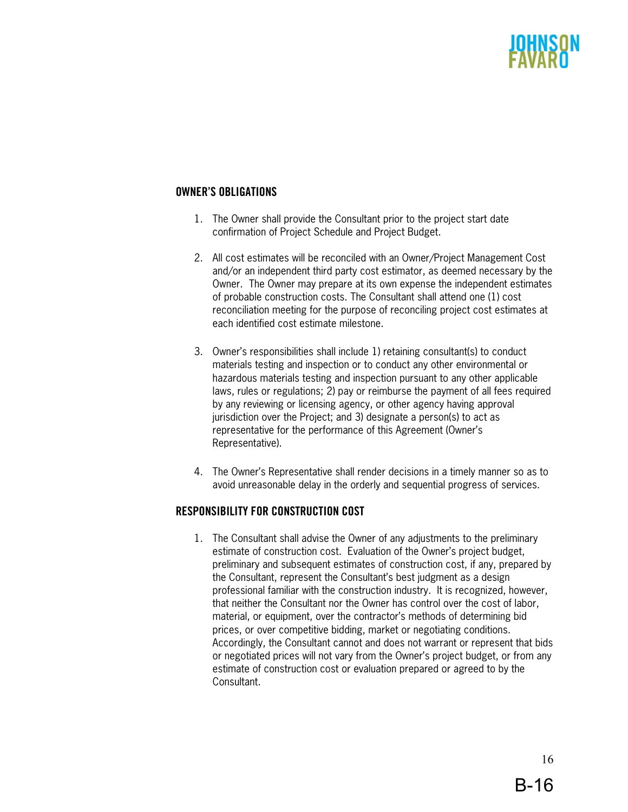# **OWNER'S OBLIGATIONS**

- 1. The Owner shall provide the Consultant prior to the project start date confirmation of Project Schedule and Project Budget.
- 2. All cost estimates will be reconciled with an Owner/Project Management Cost and/or an independent third party cost estimator, as deemed necessary by the Owner. The Owner may prepare at its own expense the independent estimates of probable construction costs. The Consultant shall attend one (1) cost reconciliation meeting for the purpose of reconciling project cost estimates at each identified cost estimate milestone.
- 3. Owner's responsibilities shall include 1) retaining consultant(s) to conduct materials testing and inspection or to conduct any other environmental or hazardous materials testing and inspection pursuant to any other applicable laws, rules or regulations; 2) pay or reimburse the payment of all fees required by any reviewing or licensing agency, or other agency having approval jurisdiction over the Project; and 3) designate a person(s) to act as representative for the performance of this Agreement (Owner's Representative).
- 4. The Owner's Representative shall render decisions in a timely manner so as to avoid unreasonable delay in the orderly and sequential progress of services.

### **RESPONSIBILITY FOR CONSTRUCTION COST**

1. The Consultant shall advise the Owner of any adjustments to the preliminary estimate of construction cost. Evaluation of the Owner's project budget, preliminary and subsequent estimates of construction cost, if any, prepared by the Consultant, represent the Consultant's best judgment as a design professional familiar with the construction industry. It is recognized, however, that neither the Consultant nor the Owner has control over the cost of labor, material, or equipment, over the contractor's methods of determining bid prices, or over competitive bidding, market or negotiating conditions. Accordingly, the Consultant cannot and does not warrant or represent that bids or negotiated prices will not vary from the Owner's project budget, or from any estimate of construction cost or evaluation prepared or agreed to by the Consultant.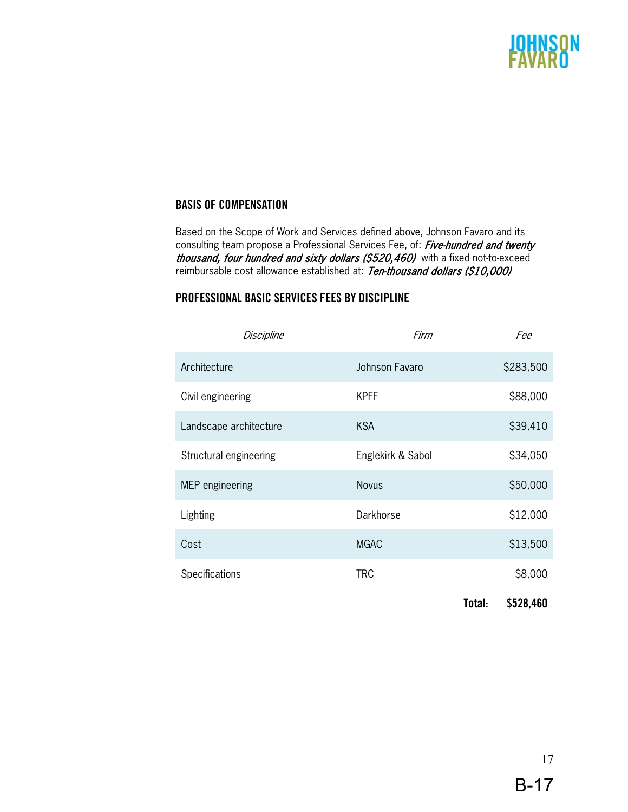# SON

# **BASIS OF COMPENSATION**

Based on the Scope of Work and Services defined above, Johnson Favaro and its consulting team propose a Professional Services Fee, of: Five-hundred and twenty thousand, four hundred and sixty dollars (\$520,460) with a fixed not-to-exceed reimbursable cost allowance established at: Ten-thousand dollars (\$10,000)

### **PROFESSIONAL BASIC SERVICES FEES BY DISCIPLINE**

| Discipline             | Firm              |        | <u>Fee</u> |
|------------------------|-------------------|--------|------------|
| Architecture           | Johnson Favaro    |        | \$283,500  |
| Civil engineering      | <b>KPFF</b>       |        | \$88,000   |
| Landscape architecture | <b>KSA</b>        |        | \$39,410   |
| Structural engineering | Englekirk & Sabol |        | \$34,050   |
| MEP engineering        | <b>Novus</b>      |        | \$50,000   |
| Lighting               | Darkhorse         |        | \$12,000   |
| Cost                   | <b>MGAC</b>       |        | \$13,500   |
| Specifications         | <b>TRC</b>        |        | \$8,000    |
|                        |                   | Total: | \$528,460  |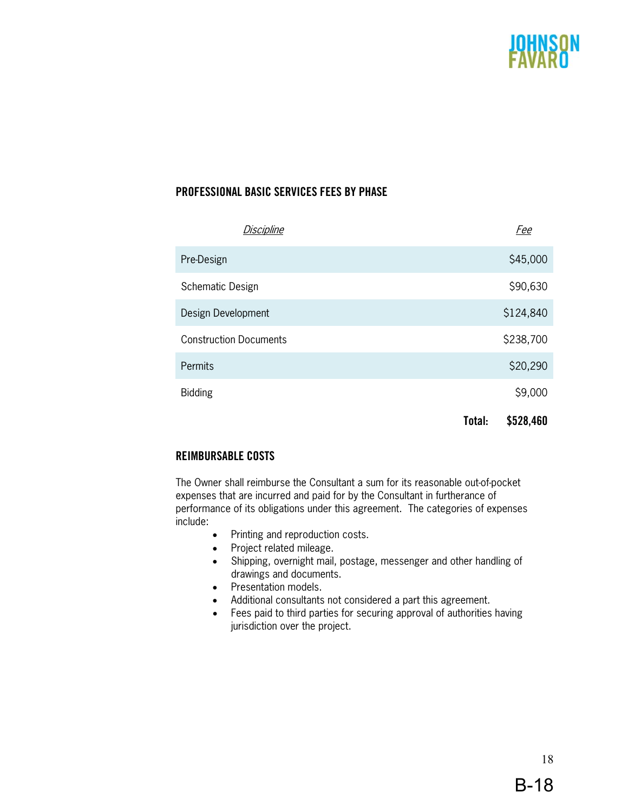

# **PROFESSIONAL BASIC SERVICES FEES BY PHASE**

| Discipline                    |        | <u>Fee</u> |
|-------------------------------|--------|------------|
| Pre-Design                    |        | \$45,000   |
| Schematic Design              |        | \$90,630   |
| Design Development            |        | \$124,840  |
| <b>Construction Documents</b> |        | \$238,700  |
| <b>Permits</b>                |        | \$20,290   |
| <b>Bidding</b>                |        | \$9,000    |
|                               | Total: | \$528,460  |

# **REIMBURSABLE COSTS**

The Owner shall reimburse the Consultant a sum for its reasonable out-of-pocket expenses that are incurred and paid for by the Consultant in furtherance of performance of its obligations under this agreement. The categories of expenses include:

- Printing and reproduction costs.
- Project related mileage.
- Shipping, overnight mail, postage, messenger and other handling of drawings and documents.
- Presentation models.
- Additional consultants not considered a part this agreement.
- Fees paid to third parties for securing approval of authorities having jurisdiction over the project.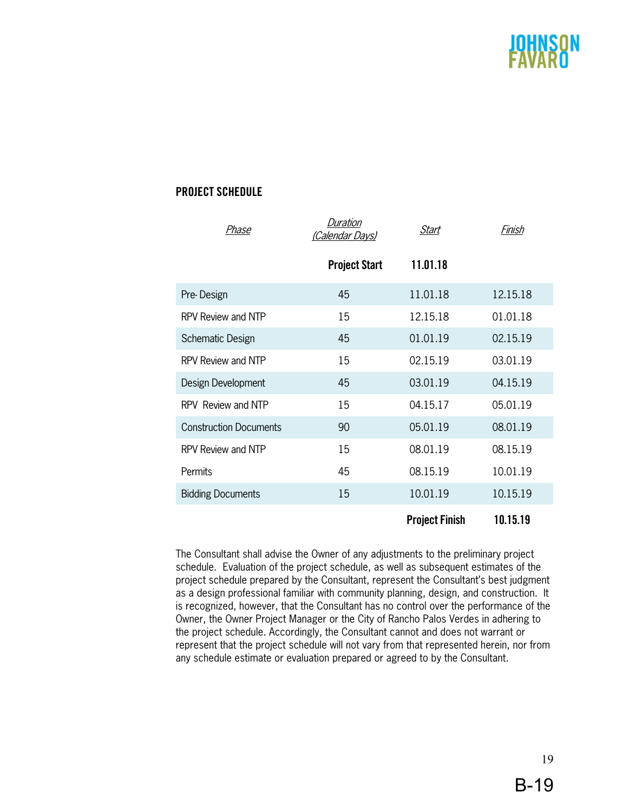

# **PROJECT SCHEDULE**

| Phase                         | <b>Duration</b><br>(Calendar Days) | Start                 | Finish   |
|-------------------------------|------------------------------------|-----------------------|----------|
|                               | <b>Project Start</b>               | 11.01.18              |          |
| Pre-Design                    | 45                                 | 11.01.18              | 12.15.18 |
| RPV Review and NTP            | 15                                 | 12.15.18              | 01.01.18 |
| Schematic Design              | 45                                 | 01.01.19              | 02.15.19 |
| RPV Review and NTP            | 15                                 | 02.15.19              | 03.01.19 |
| Design Development            | 45                                 | 03.01.19              | 04.15.19 |
| RPV Review and NTP            | 15                                 | 04.15.17              | 05.01.19 |
| <b>Construction Documents</b> | 90                                 | 05.01.19              | 08.01.19 |
| RPV Review and NTP            | 15                                 | 08.01.19              | 08.15.19 |
| Permits                       | 45                                 | 08.15.19              | 10.01.19 |
| <b>Bidding Documents</b>      | 15                                 | 10.01.19              | 10.15.19 |
|                               |                                    | <b>Project Finish</b> | 10.15.19 |

The Consultant shall advise the Owner of any adjustments to the preliminary project schedule. Evaluation of the project schedule, as well as subsequent estimates of the project schedule prepared by the Consultant, represent the Consultant's best judgment as a design professional familiar with community planning, design, and construction. It is recognized, however, that the Consultant has no control over the performance of the Owner, the Owner Project Manager or the City of Rancho Palos Verdes in adhering to the project schedule. Accordingly, the Consultant cannot and does not warrant or represent that the project schedule will not vary from that represented herein, nor from any schedule estimate or evaluation prepared or agreed to by the Consultant.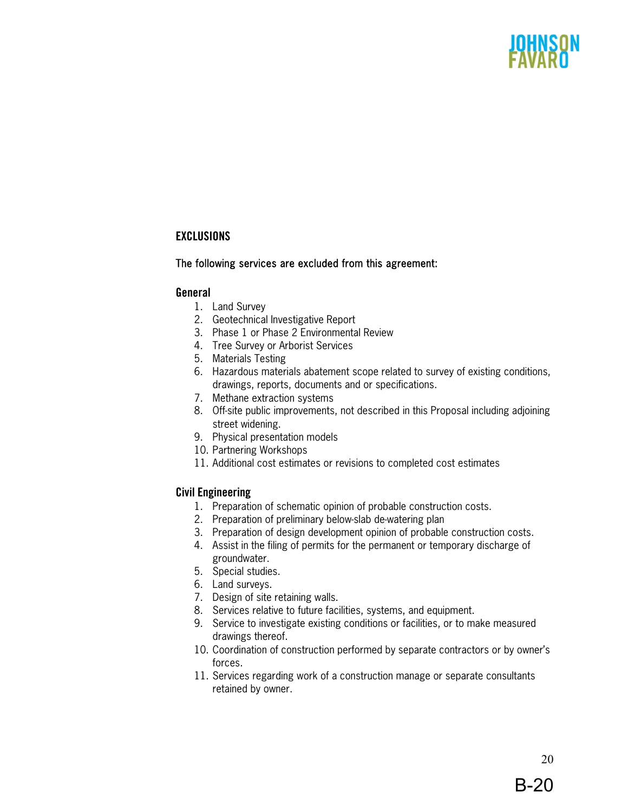### **EXCLUSIONS**

### The following services are excluded from this agreement:

### **General**

- 1. Land Survey
- 2. Geotechnical Investigative Report
- 3. Phase 1 or Phase 2 Environmental Review
- 4. Tree Survey or Arborist Services
- 5. Materials Testing
- 6. Hazardous materials abatement scope related to survey of existing conditions, drawings, reports, documents and or specifications.
- 7. Methane extraction systems
- 8. Off-site public improvements, not described in this Proposal including adjoining street widening.
- 9. Physical presentation models
- 10. Partnering Workshops
- 11. Additional cost estimates or revisions to completed cost estimates

### **Civil Engineering**

- 1. Preparation of schematic opinion of probable construction costs.
- 2. Preparation of preliminary below-slab de-watering plan
- 3. Preparation of design development opinion of probable construction costs.
- 4. Assist in the filing of permits for the permanent or temporary discharge of groundwater.
- 5. Special studies.
- 6. Land surveys.
- 7. Design of site retaining walls.
- 8. Services relative to future facilities, systems, and equipment.
- 9. Service to investigate existing conditions or facilities, or to make measured drawings thereof.
- 10. Coordination of construction performed by separate contractors or by owner's forces.
- 11. Services regarding work of a construction manage or separate consultants retained by owner.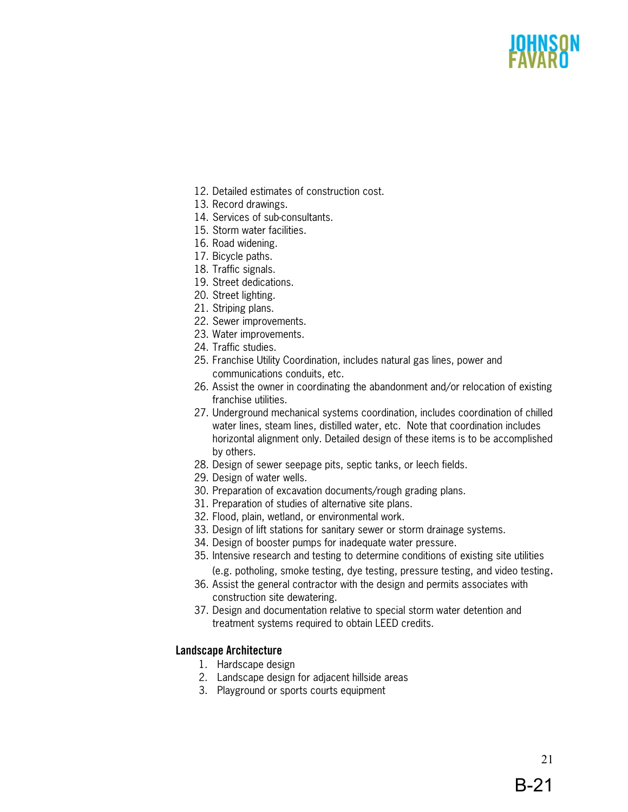- 12. Detailed estimates of construction cost.
- 13. Record drawings.
- 14. Services of sub-consultants.
- 15. Storm water facilities.
- 16. Road widening.
- 17. Bicycle paths.
- 18. Traffic signals.
- 19. Street dedications.
- 20. Street lighting.
- 21. Striping plans.
- 22. Sewer improvements.
- 23. Water improvements.
- 24. Traffic studies.
- 25. Franchise Utility Coordination, includes natural gas lines, power and communications conduits, etc.
- 26. Assist the owner in coordinating the abandonment and/or relocation of existing franchise utilities.
- 27. Underground mechanical systems coordination, includes coordination of chilled water lines, steam lines, distilled water, etc. Note that coordination includes horizontal alignment only. Detailed design of these items is to be accomplished by others.
- 28. Design of sewer seepage pits, septic tanks, or leech fields.
- 29. Design of water wells.
- 30. Preparation of excavation documents/rough grading plans.
- 31. Preparation of studies of alternative site plans.
- 32. Flood, plain, wetland, or environmental work.
- 33. Design of lift stations for sanitary sewer or storm drainage systems.
- 34. Design of booster pumps for inadequate water pressure.
- 35. Intensive research and testing to determine conditions of existing site utilities
- (e.g. potholing, smoke testing, dye testing, pressure testing, and video testing. 36. Assist the general contractor with the design and permits associates with construction site dewatering.
- 37. Design and documentation relative to special storm water detention and treatment systems required to obtain LEED credits.

# **Landscape Architecture**

- 1. Hardscape design
- 2. Landscape design for adjacent hillside areas
- 3. Playground or sports courts equipment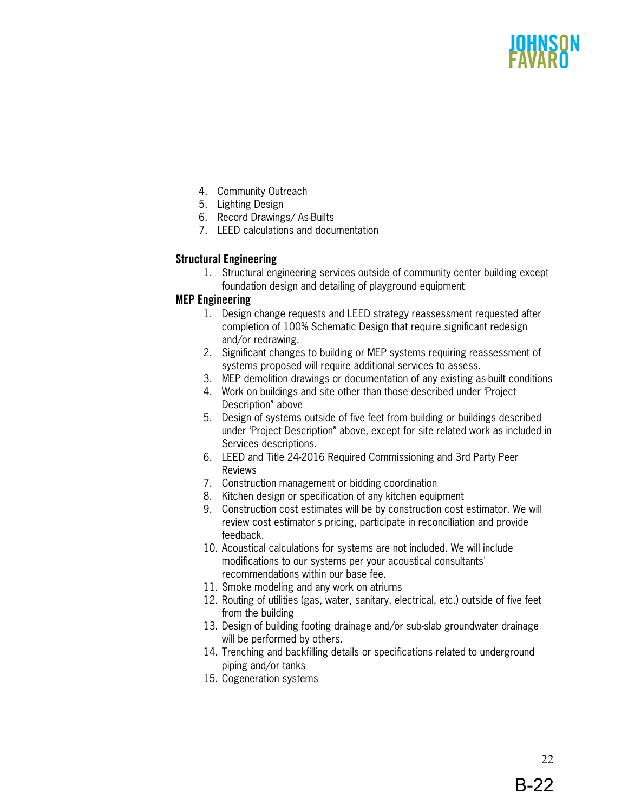- 4. Community Outreach
- 5. Lighting Design
- 6. Record Drawings/ As-Builts
- 7. LEED calculations and documentation

# **Structural Engineering**

1. Structural engineering services outside of community center building except foundation design and detailing of playground equipment

### **MEP Engineering**

- 1. Design change requests and LEED strategy reassessment requested after completion of 100% Schematic Design that require significant redesign and/or redrawing.
- 2. Significant changes to building or MEP systems requiring reassessment of systems proposed will require additional services to assess.
- 3. MEP demolition drawings or documentation of any existing as-built conditions
- 4. Work on buildings and site other than those described under 'Project Description" above
- 5. Design of systems outside of five feet from building or buildings described under 'Project Description" above, except for site related work as included in Services descriptions.
- 6. LEED and Title 24-2016 Required Commissioning and 3rd Party Peer Reviews
- 7. Construction management or bidding coordination
- 8. Kitchen design or specification of any kitchen equipment
- 9. Construction cost estimates will be by construction cost estimator. We will review cost estimator's pricing, participate in reconciliation and provide feedback.
- 10. Acoustical calculations for systems are not included. We will include modifications to our systems per your acoustical consultants' recommendations within our base fee.
- 11. Smoke modeling and any work on atriums
- 12. Routing of utilities (gas, water, sanitary, electrical, etc.) outside of five feet from the building
- 13. Design of building footing drainage and/or sub-slab groundwater drainage will be performed by others.
- 14. Trenching and backfilling details or specifications related to underground piping and/or tanks
- 15. Cogeneration systems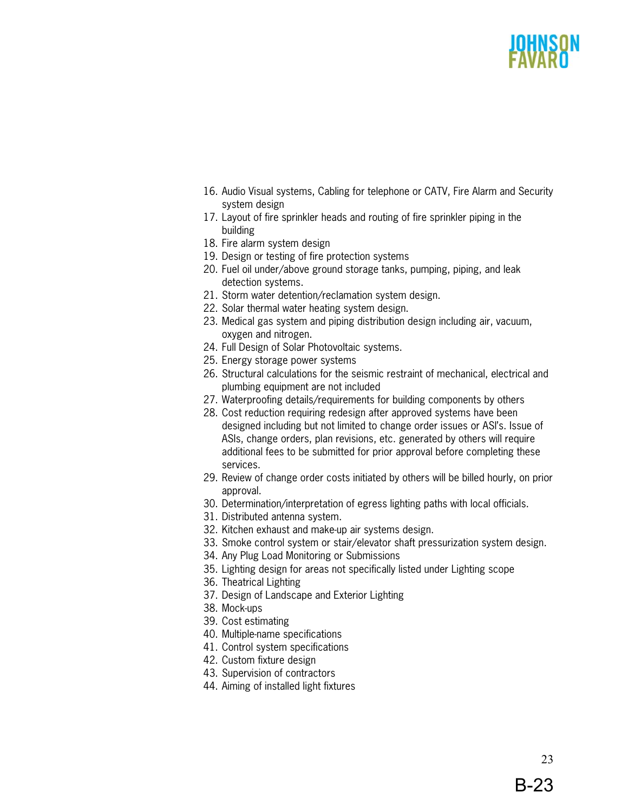- 16. Audio Visual systems, Cabling for telephone or CATV, Fire Alarm and Security system design
- 17. Layout of fire sprinkler heads and routing of fire sprinkler piping in the building
- 18. Fire alarm system design
- 19. Design or testing of fire protection systems
- 20. Fuel oil under/above ground storage tanks, pumping, piping, and leak detection systems.
- 21. Storm water detention/reclamation system design.
- 22. Solar thermal water heating system design.
- 23. Medical gas system and piping distribution design including air, vacuum, oxygen and nitrogen.
- 24. Full Design of Solar Photovoltaic systems.
- 25. Energy storage power systems
- 26. Structural calculations for the seismic restraint of mechanical, electrical and plumbing equipment are not included
- 27. Waterproofing details/requirements for building components by others
- 28. Cost reduction requiring redesign after approved systems have been designed including but not limited to change order issues or ASI's. Issue of ASIs, change orders, plan revisions, etc. generated by others will require additional fees to be submitted for prior approval before completing these services.
- 29. Review of change order costs initiated by others will be billed hourly, on prior approval.
- 30. Determination/interpretation of egress lighting paths with local officials.
- 31. Distributed antenna system.
- 32. Kitchen exhaust and make-up air systems design.
- 33. Smoke control system or stair/elevator shaft pressurization system design.
- 34. Any Plug Load Monitoring or Submissions
- 35. Lighting design for areas not specifically listed under Lighting scope
- 36. Theatrical Lighting
- 37. Design of Landscape and Exterior Lighting
- 38. Mock-ups
- 39. Cost estimating
- 40. Multiple-name specifications
- 41. Control system specifications
- 42. Custom fixture design
- 43. Supervision of contractors
- 44. Aiming of installed light fixtures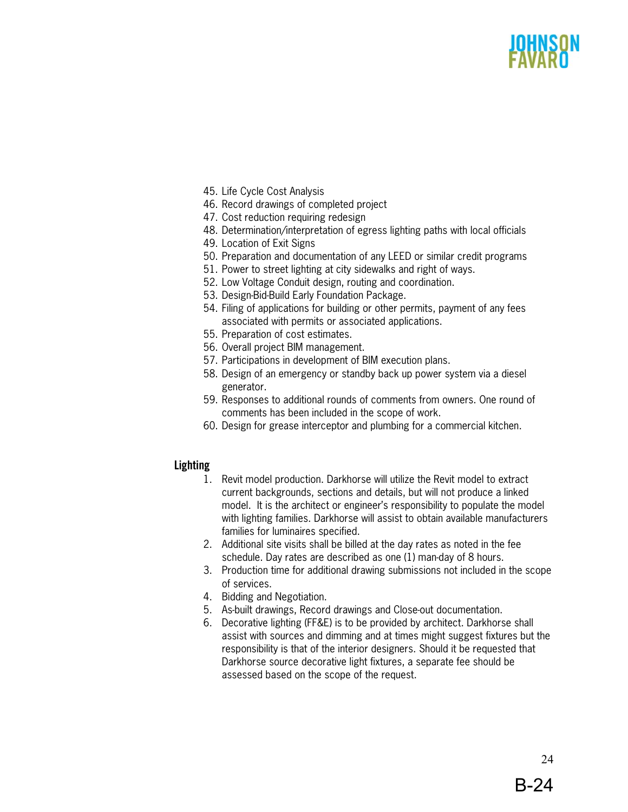- 45. Life Cycle Cost Analysis
- 46. Record drawings of completed project
- 47. Cost reduction requiring redesign
- 48. Determination/interpretation of egress lighting paths with local officials
- 49. Location of Exit Signs
- 50. Preparation and documentation of any LEED or similar credit programs
- 51. Power to street lighting at city sidewalks and right of ways.
- 52. Low Voltage Conduit design, routing and coordination.
- 53. Design-Bid-Build Early Foundation Package.
- 54. Filing of applications for building or other permits, payment of any fees associated with permits or associated applications.
- 55. Preparation of cost estimates.
- 56. Overall project BIM management.
- 57. Participations in development of BIM execution plans.
- 58. Design of an emergency or standby back up power system via a diesel generator.
- 59. Responses to additional rounds of comments from owners. One round of comments has been included in the scope of work.
- 60. Design for grease interceptor and plumbing for a commercial kitchen.

### **Lighting**

- 1. Revit model production. Darkhorse will utilize the Revit model to extract current backgrounds, sections and details, but will not produce a linked model. It is the architect or engineer's responsibility to populate the model with lighting families. Darkhorse will assist to obtain available manufacturers families for luminaires specified.
- 2. Additional site visits shall be billed at the day rates as noted in the fee schedule. Day rates are described as one (1) man-day of 8 hours.
- 3. Production time for additional drawing submissions not included in the scope of services.
- 4. Bidding and Negotiation.
- 5. As-built drawings, Record drawings and Close-out documentation.
- 6. Decorative lighting (FF&E) is to be provided by architect. Darkhorse shall assist with sources and dimming and at times might suggest fixtures but the responsibility is that of the interior designers. Should it be requested that Darkhorse source decorative light fixtures, a separate fee should be assessed based on the scope of the request.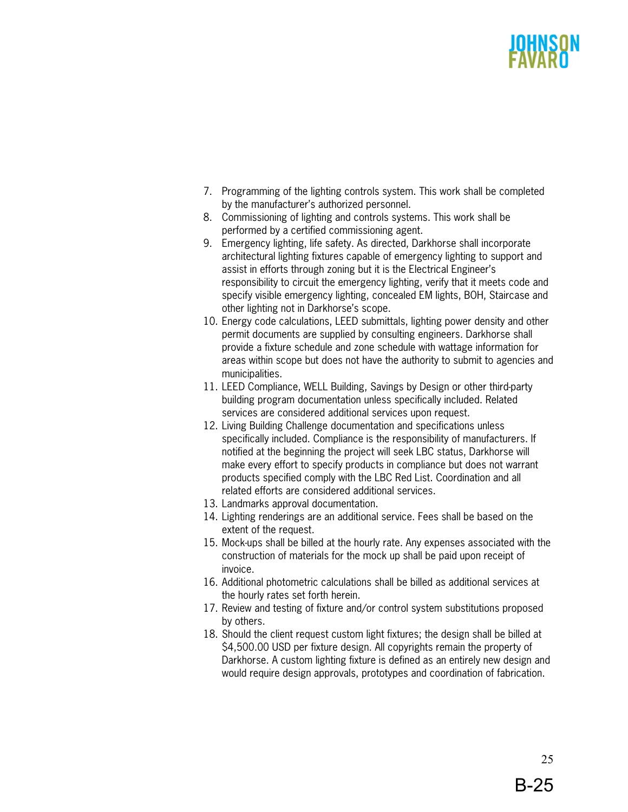- 7. Programming of the lighting controls system. This work shall be completed by the manufacturer's authorized personnel.
- 8. Commissioning of lighting and controls systems. This work shall be performed by a certified commissioning agent.
- 9. Emergency lighting, life safety. As directed, Darkhorse shall incorporate architectural lighting fixtures capable of emergency lighting to support and assist in efforts through zoning but it is the Electrical Engineer's responsibility to circuit the emergency lighting, verify that it meets code and specify visible emergency lighting, concealed EM lights, BOH, Staircase and other lighting not in Darkhorse's scope.
- 10. Energy code calculations, LEED submittals, lighting power density and other permit documents are supplied by consulting engineers. Darkhorse shall provide a fixture schedule and zone schedule with wattage information for areas within scope but does not have the authority to submit to agencies and municipalities.
- 11. LEED Compliance, WELL Building, Savings by Design or other third-party building program documentation unless specifically included. Related services are considered additional services upon request.
- 12. Living Building Challenge documentation and specifications unless specifically included. Compliance is the responsibility of manufacturers. If notified at the beginning the project will seek LBC status, Darkhorse will make every effort to specify products in compliance but does not warrant products specified comply with the LBC Red List. Coordination and all related efforts are considered additional services.
- 13. Landmarks approval documentation.
- 14. Lighting renderings are an additional service. Fees shall be based on the extent of the request.
- 15. Mock-ups shall be billed at the hourly rate. Any expenses associated with the construction of materials for the mock up shall be paid upon receipt of invoice.
- 16. Additional photometric calculations shall be billed as additional services at the hourly rates set forth herein.
- 17. Review and testing of fixture and/or control system substitutions proposed by others.
- 18. Should the client request custom light fixtures; the design shall be billed at \$4,500.00 USD per fixture design. All copyrights remain the property of Darkhorse. A custom lighting fixture is defined as an entirely new design and would require design approvals, prototypes and coordination of fabrication.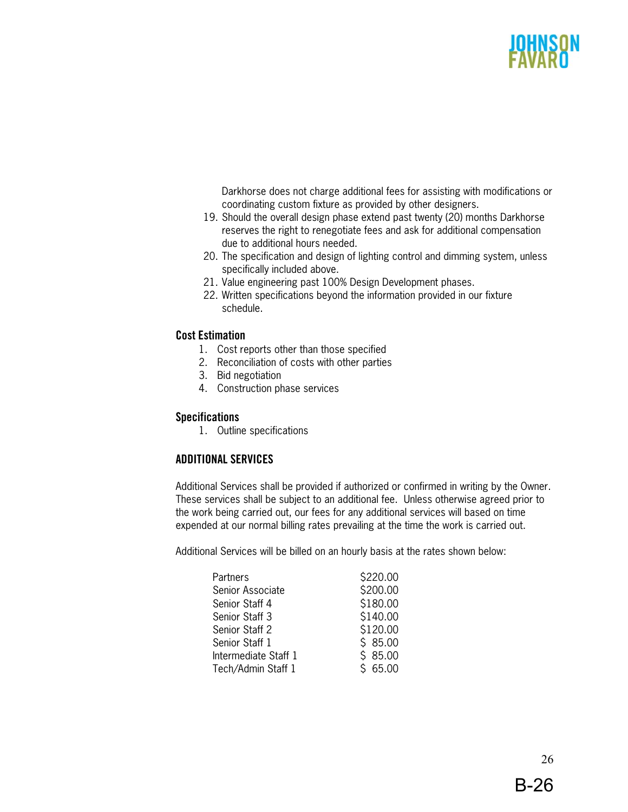Darkhorse does not charge additional fees for assisting with modifications or coordinating custom fixture as provided by other designers.

- 19. Should the overall design phase extend past twenty (20) months Darkhorse reserves the right to renegotiate fees and ask for additional compensation due to additional hours needed.
- 20. The specification and design of lighting control and dimming system, unless specifically included above.
- 21. Value engineering past 100% Design Development phases.
- 22. Written specifications beyond the information provided in our fixture schedule.

### **Cost Estimation**

- 1. Cost reports other than those specified
- 2. Reconciliation of costs with other parties
- 3. Bid negotiation
- 4. Construction phase services

### **Specifications**

1. Outline specifications

### **ADDITIONAL SERVICES**

Additional Services shall be provided if authorized or confirmed in writing by the Owner. These services shall be subject to an additional fee. Unless otherwise agreed prior to the work being carried out, our fees for any additional services will based on time expended at our normal billing rates prevailing at the time the work is carried out.

Additional Services will be billed on an hourly basis at the rates shown below:

| Partners             | \$220.00 |
|----------------------|----------|
| Senior Associate     | \$200.00 |
| Senior Staff 4       | \$180.00 |
| Senior Staff 3       | \$140.00 |
| Senior Staff 2       | \$120.00 |
| Senior Staff 1       | \$85.00  |
| Intermediate Staff 1 | \$85.00  |
| Tech/Admin Staff 1   | \$65.00  |